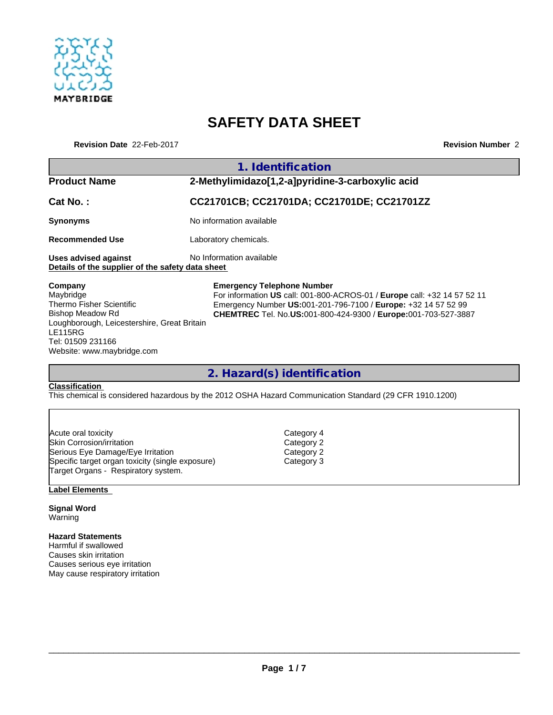

# **SAFETY DATA SHEET**

**Revision Date** 22-Feb-2017 **Revision Number** 2

|                                                                                                                                                                                                 | 1. Identification                                                                                                                                                                                                                                 |  |  |  |  |
|-------------------------------------------------------------------------------------------------------------------------------------------------------------------------------------------------|---------------------------------------------------------------------------------------------------------------------------------------------------------------------------------------------------------------------------------------------------|--|--|--|--|
| <b>Product Name</b>                                                                                                                                                                             | 2-Methylimidazo[1,2-a]pyridine-3-carboxylic acid                                                                                                                                                                                                  |  |  |  |  |
| Cat No.:                                                                                                                                                                                        | CC21701CB; CC21701DA; CC21701DE; CC21701ZZ                                                                                                                                                                                                        |  |  |  |  |
| <b>Synonyms</b>                                                                                                                                                                                 | No information available                                                                                                                                                                                                                          |  |  |  |  |
| <b>Recommended Use</b>                                                                                                                                                                          | Laboratory chemicals.                                                                                                                                                                                                                             |  |  |  |  |
| Uses advised against<br>Details of the supplier of the safety data sheet                                                                                                                        | No Information available                                                                                                                                                                                                                          |  |  |  |  |
| Company<br>Maybridge<br>Thermo Fisher Scientific<br><b>Bishop Meadow Rd</b><br>Loughborough, Leicestershire, Great Britain<br><b>LE115RG</b><br>Tel: 01509 231166<br>Website: www.maybridge.com | <b>Emergency Telephone Number</b><br>For information US call: 001-800-ACROS-01 / Europe call: +32 14 57 52 11<br>Emergency Number US:001-201-796-7100 / Europe: +32 14 57 52 99<br>CHEMTREC Tel. No.US:001-800-424-9300 / Europe:001-703-527-3887 |  |  |  |  |

**2. Hazard(s) identification**

### **Classification**

This chemical is considered hazardous by the 2012 OSHA Hazard Communication Standard (29 CFR 1910.1200)

| Acute oral toxicity                              | Category 4 |  |
|--------------------------------------------------|------------|--|
| Skin Corrosion/irritation                        | Category 2 |  |
| Serious Eye Damage/Eye Irritation                | Category 2 |  |
| Specific target organ toxicity (single exposure) | Category 3 |  |
| Target Organs - Respiratory system.              |            |  |

## **Label Elements**

#### **Signal Word** Warning

## **Hazard Statements**

Harmful if swallowed Causes skin irritation Causes serious eye irritation May cause respiratory irritation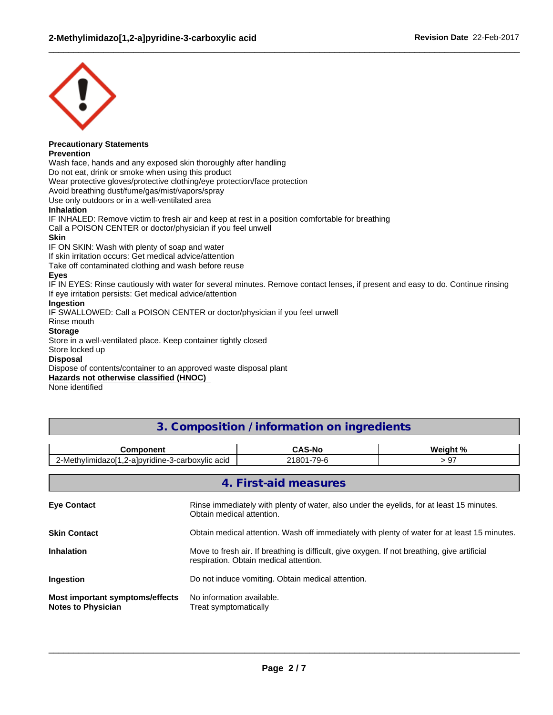

#### **Precautionary Statements Prevention**

Wash face, hands and any exposed skin thoroughly after handling

Do not eat, drink or smoke when using this product

Wear protective gloves/protective clothing/eye protection/face protection

Avoid breathing dust/fume/gas/mist/vapors/spray

Use only outdoors or in a well-ventilated area

## **Inhalation**

IF INHALED: Remove victim to fresh air and keep at rest in a position comfortable for breathing Call a POISON CENTER or doctor/physician if you feel unwell

### **Skin**

IF ON SKIN: Wash with plenty of soap and water

If skin irritation occurs: Get medical advice/attention

Take off contaminated clothing and wash before reuse

## **Eyes**

IF IN EYES: Rinse cautiously with water for several minutes. Remove contact lenses, if present and easy to do. Continue rinsing If eye irritation persists: Get medical advice/attention

 $\_$  ,  $\_$  ,  $\_$  ,  $\_$  ,  $\_$  ,  $\_$  ,  $\_$  ,  $\_$  ,  $\_$  ,  $\_$  ,  $\_$  ,  $\_$  ,  $\_$  ,  $\_$  ,  $\_$  ,  $\_$  ,  $\_$  ,  $\_$  ,  $\_$  ,  $\_$  ,  $\_$  ,  $\_$  ,  $\_$  ,  $\_$  ,  $\_$  ,  $\_$  ,  $\_$  ,  $\_$  ,  $\_$  ,  $\_$  ,  $\_$  ,  $\_$  ,  $\_$  ,  $\_$  ,  $\_$  ,  $\_$  ,  $\_$  ,

## **Ingestion**

IF SWALLOWED: Call a POISON CENTER or doctor/physician if you feel unwell

Rinse mouth

## **Storage**

Store in a well-ventilated place. Keep container tightly closed

## Store locked up

## **Disposal**

Dispose of contents/container to an approved waste disposal plant

## **Hazards not otherwise classified (HNOC)**

None identified

## **3. Composition / information on ingredients**

| .<br><br>onen.                                                                                               |                      | $M$ ainht % |
|--------------------------------------------------------------------------------------------------------------|----------------------|-------------|
| $\sim$ $\sim$<br>Леth<br>ridine-.<br>acid<br>_1ZOL*<br>3-carboxvlic<br>-albvr<br>—— <b>.</b> .<br>$-$<br>-41 | $-7o$<br>.001<br>י ב | $\sim$      |

| 4. First-aid measures                                        |                                                                                                                                        |  |  |  |
|--------------------------------------------------------------|----------------------------------------------------------------------------------------------------------------------------------------|--|--|--|
| <b>Eye Contact</b>                                           | Rinse immediately with plenty of water, also under the eyelids, for at least 15 minutes.<br>Obtain medical attention.                  |  |  |  |
| <b>Skin Contact</b>                                          | Obtain medical attention. Wash off immediately with plenty of water for at least 15 minutes.                                           |  |  |  |
| <b>Inhalation</b>                                            | Move to fresh air. If breathing is difficult, give oxygen. If not breathing, give artificial<br>respiration. Obtain medical attention. |  |  |  |
| Ingestion                                                    | Do not induce vomiting. Obtain medical attention.                                                                                      |  |  |  |
| Most important symptoms/effects<br><b>Notes to Physician</b> | No information available.<br>Treat symptomatically                                                                                     |  |  |  |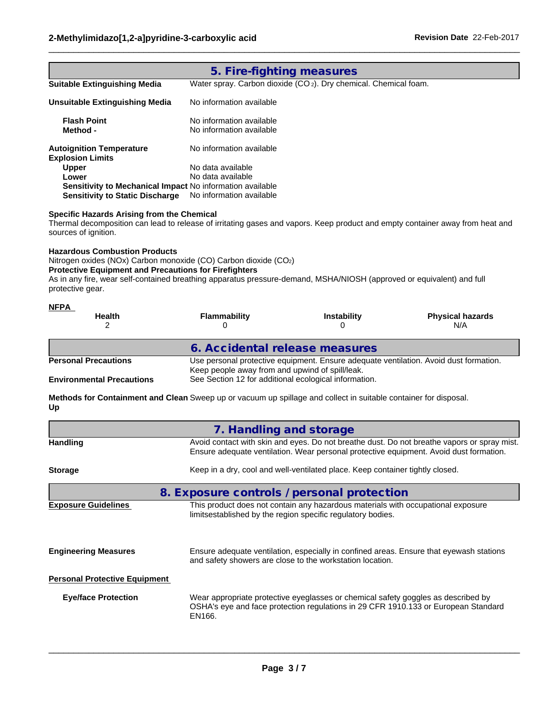|                                                                                                                                                                                                                                                                              | 5. Fire-fighting measures                             |                                                                                       |                                                                                                                                                                                       |
|------------------------------------------------------------------------------------------------------------------------------------------------------------------------------------------------------------------------------------------------------------------------------|-------------------------------------------------------|---------------------------------------------------------------------------------------|---------------------------------------------------------------------------------------------------------------------------------------------------------------------------------------|
| <b>Suitable Extinguishing Media</b>                                                                                                                                                                                                                                          |                                                       | Water spray. Carbon dioxide (CO <sub>2</sub> ). Dry chemical. Chemical foam.          |                                                                                                                                                                                       |
| <b>Unsuitable Extinguishing Media</b>                                                                                                                                                                                                                                        | No information available                              |                                                                                       |                                                                                                                                                                                       |
| <b>Flash Point</b>                                                                                                                                                                                                                                                           | No information available                              |                                                                                       |                                                                                                                                                                                       |
| Method -                                                                                                                                                                                                                                                                     | No information available                              |                                                                                       |                                                                                                                                                                                       |
| <b>Autoignition Temperature</b><br><b>Explosion Limits</b>                                                                                                                                                                                                                   | No information available                              |                                                                                       |                                                                                                                                                                                       |
| Upper                                                                                                                                                                                                                                                                        | No data available                                     |                                                                                       |                                                                                                                                                                                       |
| Lower                                                                                                                                                                                                                                                                        | No data available                                     |                                                                                       |                                                                                                                                                                                       |
| Sensitivity to Mechanical Impact No information available<br><b>Sensitivity to Static Discharge</b>                                                                                                                                                                          | No information available                              |                                                                                       |                                                                                                                                                                                       |
| sources of ignition.<br><b>Hazardous Combustion Products</b>                                                                                                                                                                                                                 |                                                       |                                                                                       |                                                                                                                                                                                       |
| Nitrogen oxides (NOx) Carbon monoxide (CO) Carbon dioxide (CO2)<br><b>Protective Equipment and Precautions for Firefighters</b><br>As in any fire, wear self-contained breathing apparatus pressure-demand, MSHA/NIOSH (approved or equivalent) and full<br>protective gear. |                                                       |                                                                                       |                                                                                                                                                                                       |
|                                                                                                                                                                                                                                                                              |                                                       |                                                                                       |                                                                                                                                                                                       |
| <b>Health</b><br>2                                                                                                                                                                                                                                                           | <b>Flammability</b><br>0                              | <b>Instability</b><br>0                                                               | <b>Physical hazards</b><br>N/A                                                                                                                                                        |
|                                                                                                                                                                                                                                                                              |                                                       |                                                                                       |                                                                                                                                                                                       |
|                                                                                                                                                                                                                                                                              | 6. Accidental release measures                        |                                                                                       |                                                                                                                                                                                       |
|                                                                                                                                                                                                                                                                              | Keep people away from and upwind of spill/leak.       | Use personal protective equipment. Ensure adequate ventilation. Avoid dust formation. |                                                                                                                                                                                       |
|                                                                                                                                                                                                                                                                              | See Section 12 for additional ecological information. |                                                                                       |                                                                                                                                                                                       |
| NFPA<br><b>Personal Precautions</b><br><b>Environmental Precautions</b><br>Up                                                                                                                                                                                                |                                                       |                                                                                       |                                                                                                                                                                                       |
|                                                                                                                                                                                                                                                                              | 7. Handling and storage                               |                                                                                       |                                                                                                                                                                                       |
| Methods for Containment and Clean Sweep up or vacuum up spillage and collect in suitable container for disposal.<br><b>Handling</b>                                                                                                                                          |                                                       |                                                                                       | Avoid contact with skin and eyes. Do not breathe dust. Do not breathe vapors or spray mist.<br>Ensure adequate ventilation. Wear personal protective equipment. Avoid dust formation. |
| <b>Storage</b>                                                                                                                                                                                                                                                               |                                                       | Keep in a dry, cool and well-ventilated place. Keep container tightly closed.         |                                                                                                                                                                                       |
|                                                                                                                                                                                                                                                                              | 8. Exposure controls / personal protection            |                                                                                       |                                                                                                                                                                                       |

| LANUSUIG QUIUGIIIIGS                 | This product does not contain any nazardous materials with occupational exposure.<br>limitsestablished by the region specific regulatory bodies.                                  |
|--------------------------------------|-----------------------------------------------------------------------------------------------------------------------------------------------------------------------------------|
| <b>Engineering Measures</b>          | Ensure adequate ventilation, especially in confined areas. Ensure that eyewash stations<br>and safety showers are close to the workstation location.                              |
| <b>Personal Protective Equipment</b> |                                                                                                                                                                                   |
| <b>Eye/face Protection</b>           | Wear appropriate protective eyeglasses or chemical safety goggles as described by<br>OSHA's eye and face protection regulations in 29 CFR 1910.133 or European Standard<br>EN166. |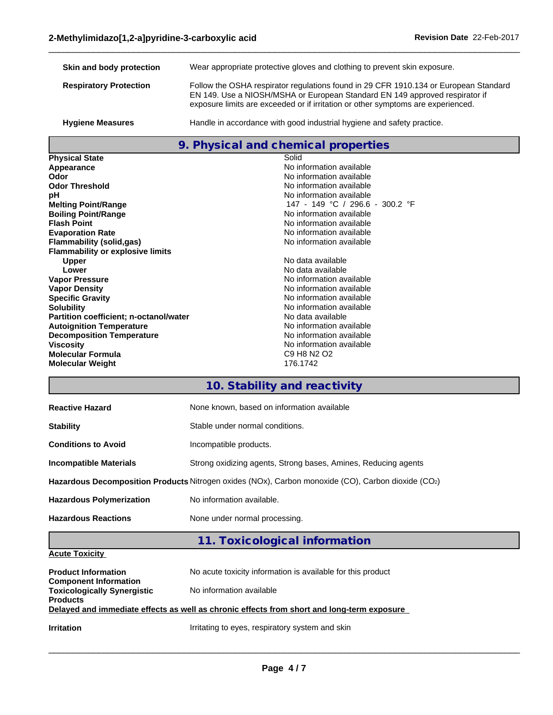| Skin and body protection      | Wear appropriate protective gloves and clothing to prevent skin exposure.                                                                                                                                                                               |
|-------------------------------|---------------------------------------------------------------------------------------------------------------------------------------------------------------------------------------------------------------------------------------------------------|
| <b>Respiratory Protection</b> | Follow the OSHA respirator regulations found in 29 CFR 1910.134 or European Standard<br>EN 149. Use a NIOSH/MSHA or European Standard EN 149 approved respirator if<br>exposure limits are exceeded or if irritation or other symptoms are experienced. |
| <b>Hygiene Measures</b>       | Handle in accordance with good industrial hygiene and safety practice.                                                                                                                                                                                  |

 $\_$  ,  $\_$  ,  $\_$  ,  $\_$  ,  $\_$  ,  $\_$  ,  $\_$  ,  $\_$  ,  $\_$  ,  $\_$  ,  $\_$  ,  $\_$  ,  $\_$  ,  $\_$  ,  $\_$  ,  $\_$  ,  $\_$  ,  $\_$  ,  $\_$  ,  $\_$  ,  $\_$  ,  $\_$  ,  $\_$  ,  $\_$  ,  $\_$  ,  $\_$  ,  $\_$  ,  $\_$  ,  $\_$  ,  $\_$  ,  $\_$  ,  $\_$  ,  $\_$  ,  $\_$  ,  $\_$  ,  $\_$  ,  $\_$  ,

# **9. Physical and chemical properties**

| <b>Physical State</b>                   | Solid                                                       |
|-----------------------------------------|-------------------------------------------------------------|
| Appearance                              | No information available                                    |
| Odor                                    | No information available                                    |
| <b>Odor Threshold</b>                   | No information available                                    |
| рH                                      | No information available                                    |
| <b>Melting Point/Range</b>              | 147 - 149 °C / 296.6 - 300.2 °F                             |
| <b>Boiling Point/Range</b>              | No information available                                    |
| <b>Flash Point</b>                      | No information available                                    |
| <b>Evaporation Rate</b>                 | No information available                                    |
| Flammability (solid,gas)                | No information available                                    |
| <b>Flammability or explosive limits</b> |                                                             |
| <b>Upper</b>                            | No data available                                           |
| Lower                                   | No data available                                           |
| <b>Vapor Pressure</b>                   | No information available                                    |
| <b>Vapor Density</b>                    | No information available                                    |
| <b>Specific Gravity</b>                 | No information available                                    |
| <b>Solubility</b>                       | No information available                                    |
| Partition coefficient; n-octanol/water  | No data available                                           |
| <b>Autoignition Temperature</b>         | No information available                                    |
| <b>Decomposition Temperature</b>        | No information available                                    |
| <b>Viscosity</b>                        | No information available                                    |
| <b>Molecular Formula</b>                | C <sub>9</sub> H <sub>8</sub> N <sub>2</sub> O <sub>2</sub> |
| <b>Molecular Weight</b>                 | 176.1742                                                    |
|                                         |                                                             |

# **10. Stability and reactivity**

| <b>Reactive Hazard</b>          | None known, based on information available                                                         |  |  |
|---------------------------------|----------------------------------------------------------------------------------------------------|--|--|
| <b>Stability</b>                | Stable under normal conditions.                                                                    |  |  |
| <b>Conditions to Avoid</b>      | Incompatible products.                                                                             |  |  |
| <b>Incompatible Materials</b>   | Strong oxidizing agents, Strong bases, Amines, Reducing agents                                     |  |  |
|                                 | Hazardous Decomposition Products Nitrogen oxides (NOx), Carbon monoxide (CO), Carbon dioxide (CO2) |  |  |
| <b>Hazardous Polymerization</b> | No information available.                                                                          |  |  |
| <b>Hazardous Reactions</b>      | None under normal processing.                                                                      |  |  |

# **11. Toxicological information**

## **Acute Toxicity**

| <b>Product Information</b>                                         | No acute toxicity information is available for this product                                |
|--------------------------------------------------------------------|--------------------------------------------------------------------------------------------|
| <b>Component Information</b><br><b>Toxicologically Synergistic</b> | No information available                                                                   |
| <b>Products</b>                                                    |                                                                                            |
|                                                                    | Delayed and immediate effects as well as chronic effects from short and long-term exposure |
| <b>Irritation</b>                                                  | Irritating to eyes, respiratory system and skin                                            |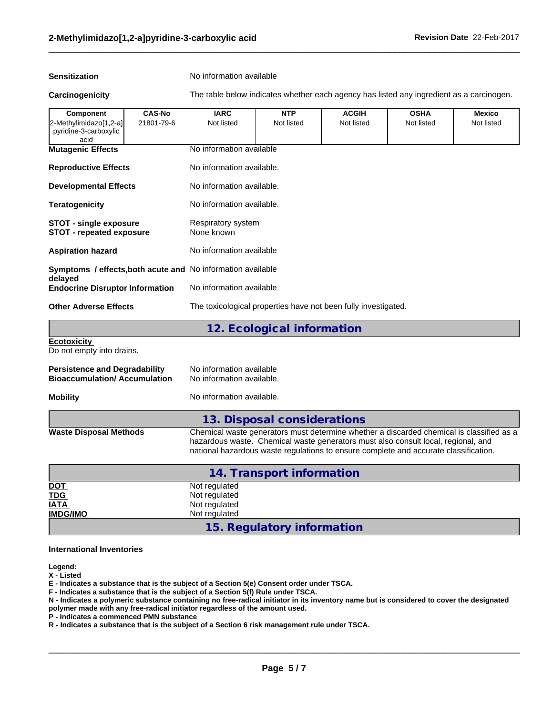**Sensitization** No information available

**Carcinogenicity** The table below indicates whether each agency has listed any ingredient as a carcinogen.

 $\_$  ,  $\_$  ,  $\_$  ,  $\_$  ,  $\_$  ,  $\_$  ,  $\_$  ,  $\_$  ,  $\_$  ,  $\_$  ,  $\_$  ,  $\_$  ,  $\_$  ,  $\_$  ,  $\_$  ,  $\_$  ,  $\_$  ,  $\_$  ,  $\_$  ,  $\_$  ,  $\_$  ,  $\_$  ,  $\_$  ,  $\_$  ,  $\_$  ,  $\_$  ,  $\_$  ,  $\_$  ,  $\_$  ,  $\_$  ,  $\_$  ,  $\_$  ,  $\_$  ,  $\_$  ,  $\_$  ,  $\_$  ,  $\_$  ,

| <b>Component</b>                                                 | <b>CAS-No</b> | <b>IARC</b>                                                    | <b>NTP</b>                 | <b>ACGIH</b> | <b>OSHA</b> | <b>Mexico</b> |  |
|------------------------------------------------------------------|---------------|----------------------------------------------------------------|----------------------------|--------------|-------------|---------------|--|
| 2-Methylimidazo[1,2-a]<br>pyridine-3-carboxylic<br>acid          | 21801-79-6    | Not listed                                                     | Not listed                 | Not listed   | Not listed  | Not listed    |  |
| <b>Mutagenic Effects</b>                                         |               | No information available                                       |                            |              |             |               |  |
| <b>Reproductive Effects</b>                                      |               | No information available.                                      |                            |              |             |               |  |
| <b>Developmental Effects</b>                                     |               | No information available.                                      |                            |              |             |               |  |
| No information available.<br><b>Teratogenicity</b>               |               |                                                                |                            |              |             |               |  |
| <b>STOT - single exposure</b><br><b>STOT - repeated exposure</b> |               | Respiratory system<br>None known                               |                            |              |             |               |  |
| <b>Aspiration hazard</b>                                         |               | No information available                                       |                            |              |             |               |  |
| Symptoms / effects, both acute and No information available      |               |                                                                |                            |              |             |               |  |
| delayed<br><b>Endocrine Disruptor Information</b>                |               | No information available                                       |                            |              |             |               |  |
| <b>Other Adverse Effects</b>                                     |               | The toxicological properties have not been fully investigated. |                            |              |             |               |  |
|                                                                  |               |                                                                | 12. Ecological information |              |             |               |  |
| <b>Ecotoxicity</b><br>Do not empty into drains.                  |               |                                                                |                            |              |             |               |  |
| <b>Persistence and Degradability</b>                             |               | No information available                                       |                            |              |             |               |  |

| No information available  |
|---------------------------|
| No information available. |
|                           |

**Mobility Mobility** No information available.

## **13. Disposal considerations**

**Waste Disposal Methods** Chemical waste generators must determine whether a discarded chemical is classified as a hazardous waste. Chemical waste generators must also consult local, regional, and national hazardous waste regulations to ensure complete and accurate classification.

| 14. Transport information |                            |  |
|---------------------------|----------------------------|--|
| <u>DOT</u>                | Not regulated              |  |
| <b>TDG</b>                | Not regulated              |  |
| <b>IATA</b>               | Not regulated              |  |
| <b>IMDG/IMO</b>           | Not regulated              |  |
|                           | 15. Regulatory information |  |

#### **International Inventories**

**Legend:**

**X - Listed**

**E - Indicates a substance that is the subject of a Section 5(e) Consent order under TSCA.**

**F - Indicates a substance that is the subject of a Section 5(f) Rule under TSCA.**

**N - Indicates a polymeric substance containing no free-radical initiator in its inventory name but is considered to cover the designated**

**polymer made with any free-radical initiator regardless of the amount used.**

**P - Indicates a commenced PMN substance**

**R - Indicates a substance that is the subject of a Section 6 risk management rule under TSCA.**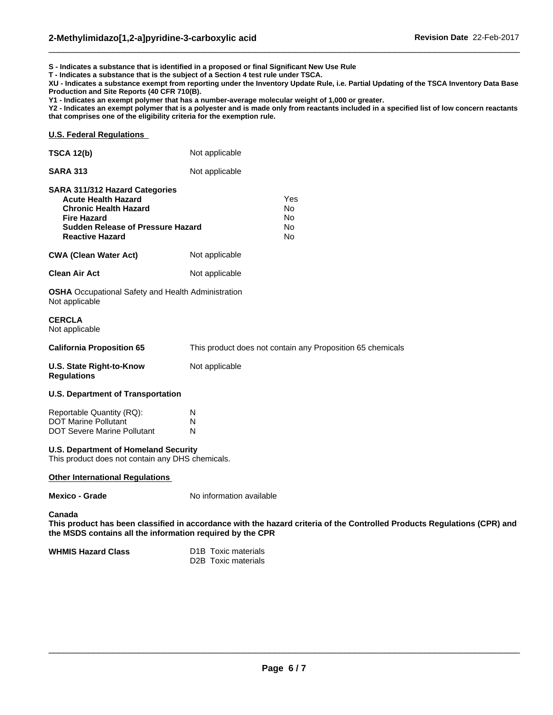**S - Indicates a substance that is identified in a proposed or final Significant New Use Rule**

**T - Indicates a substance that is the subject of a Section 4 test rule under TSCA.**

**XU - Indicates a substance exempt from reporting under the Inventory Update Rule, i.e. Partial Updating of the TSCA Inventory Data Base Production and Site Reports (40 CFR 710(B).**

 $\_$  ,  $\_$  ,  $\_$  ,  $\_$  ,  $\_$  ,  $\_$  ,  $\_$  ,  $\_$  ,  $\_$  ,  $\_$  ,  $\_$  ,  $\_$  ,  $\_$  ,  $\_$  ,  $\_$  ,  $\_$  ,  $\_$  ,  $\_$  ,  $\_$  ,  $\_$  ,  $\_$  ,  $\_$  ,  $\_$  ,  $\_$  ,  $\_$  ,  $\_$  ,  $\_$  ,  $\_$  ,  $\_$  ,  $\_$  ,  $\_$  ,  $\_$  ,  $\_$  ,  $\_$  ,  $\_$  ,  $\_$  ,  $\_$  ,

**Y1 - Indicates an exempt polymer that has a number-average molecular weight of 1,000 or greater.**

**Y2 - Indicates an exempt polymer that is a polyester and is made only from reactants included in a specified list of low concern reactants that comprises one of the eligibility criteria for the exemption rule.**

## **U.S. Federal Regulations**

| <b>TSCA 12(b)</b>                                                                                                                                                                               | Not applicable                                                                                                           |  |
|-------------------------------------------------------------------------------------------------------------------------------------------------------------------------------------------------|--------------------------------------------------------------------------------------------------------------------------|--|
| <b>SARA 313</b>                                                                                                                                                                                 | Not applicable                                                                                                           |  |
| <b>SARA 311/312 Hazard Categories</b><br><b>Acute Health Hazard</b><br><b>Chronic Health Hazard</b><br><b>Fire Hazard</b><br><b>Sudden Release of Pressure Hazard</b><br><b>Reactive Hazard</b> | Yes<br>No.<br>No.<br>No.<br>No                                                                                           |  |
| <b>CWA (Clean Water Act)</b>                                                                                                                                                                    | Not applicable                                                                                                           |  |
| <b>Clean Air Act</b>                                                                                                                                                                            | Not applicable                                                                                                           |  |
| <b>OSHA</b> Occupational Safety and Health Administration<br>Not applicable                                                                                                                     |                                                                                                                          |  |
| <b>CERCLA</b><br>Not applicable                                                                                                                                                                 |                                                                                                                          |  |
| <b>California Proposition 65</b>                                                                                                                                                                | This product does not contain any Proposition 65 chemicals                                                               |  |
| U.S. State Right-to-Know<br><b>Regulations</b>                                                                                                                                                  | Not applicable                                                                                                           |  |
| <b>U.S. Department of Transportation</b>                                                                                                                                                        |                                                                                                                          |  |
| Reportable Quantity (RQ):<br><b>DOT Marine Pollutant</b><br><b>DOT Severe Marine Pollutant</b>                                                                                                  | N<br>N<br>N                                                                                                              |  |
| <b>U.S. Department of Homeland Security</b><br>This product does not contain any DHS chemicals.                                                                                                 |                                                                                                                          |  |
| <b>Other International Regulations</b>                                                                                                                                                          |                                                                                                                          |  |
| <b>Mexico - Grade</b>                                                                                                                                                                           | No information available                                                                                                 |  |
| Canada<br>the MSDS contains all the information required by the CPR                                                                                                                             | This product has been classified in accordance with the hazard criteria of the Controlled Products Regulations (CPR) and |  |
| <b>WHMIS Hazard Class</b>                                                                                                                                                                       | D <sub>1</sub> B Toxic materials                                                                                         |  |

D2B Toxic materials